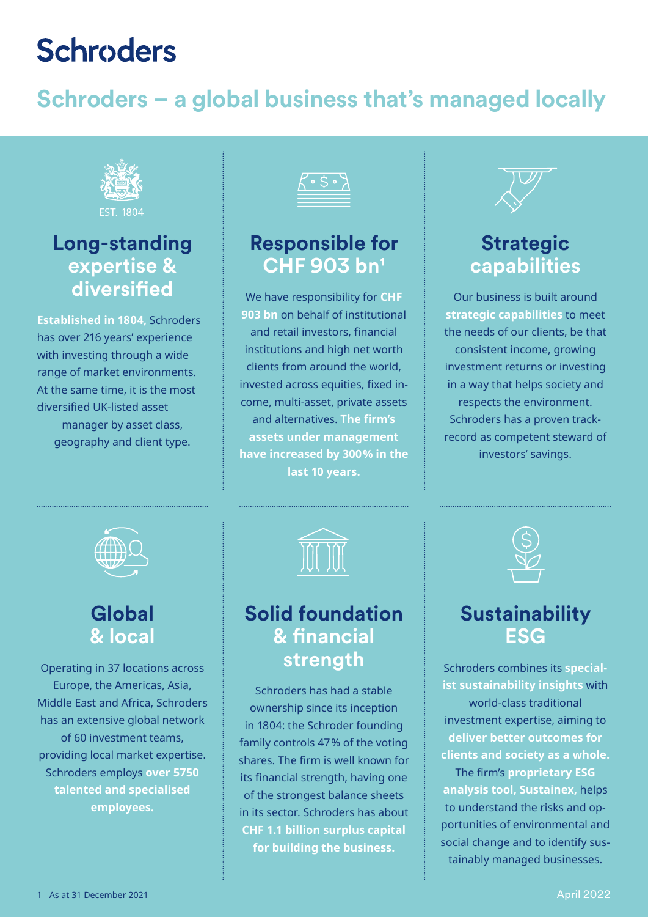# **Schroders**

# **Schroders – a global business that's managed locally**



## **Long-standing expertise & diversified**

**Established in 1804,** Schroders has over 216 years' experience with investing through a wide range of market environments. At the same time, it is the most diversified UK-listed asset manager by asset class, geography and client type.



### **Responsible for CHF 903 bn1**

We have responsibility for **CHF 903 bn** on behalf of institutional and retail investors, financial institutions and high net worth clients from around the world, invested across equities, fixed income, multi-asset, private assets and alternatives. **The firm's assets under management have increased by 300% in the last 10 years.**

## **Strategic capabilities**

Our business is built around **strategic capabilities** to meet the needs of our clients, be that consistent income, growing investment returns or investing in a way that helps society and respects the environment. Schroders has a proven trackrecord as competent steward of investors' savings.



### **Global & local**

Operating in 37 locations across Europe, the Americas, Asia, Middle East and Africa, Schroders has an extensive global network of 60 investment teams, providing local market expertise. Schroders employs **over 5750 talented and specialised employees.** 



### **Solid foundation & financial strength**

Schroders has had a stable ownership since its inception in 1804: the Schroder founding family controls 47% of the voting shares. The firm is well known for its financial strength, having one of the strongest balance sheets in its sector. Schroders has about **CHF 1.1 billion surplus capital for building the business.**



### **Sustainability ESG**

Schroders combines its **specialist sustainability insights** with world-class traditional investment expertise, aiming to **deliver better outcomes for clients and society as a whole.** The firm's **proprietary ESG analysis tool, Sustainex,** helps to understand the risks and opportunities of environmental and social change and to identify sustainably managed businesses.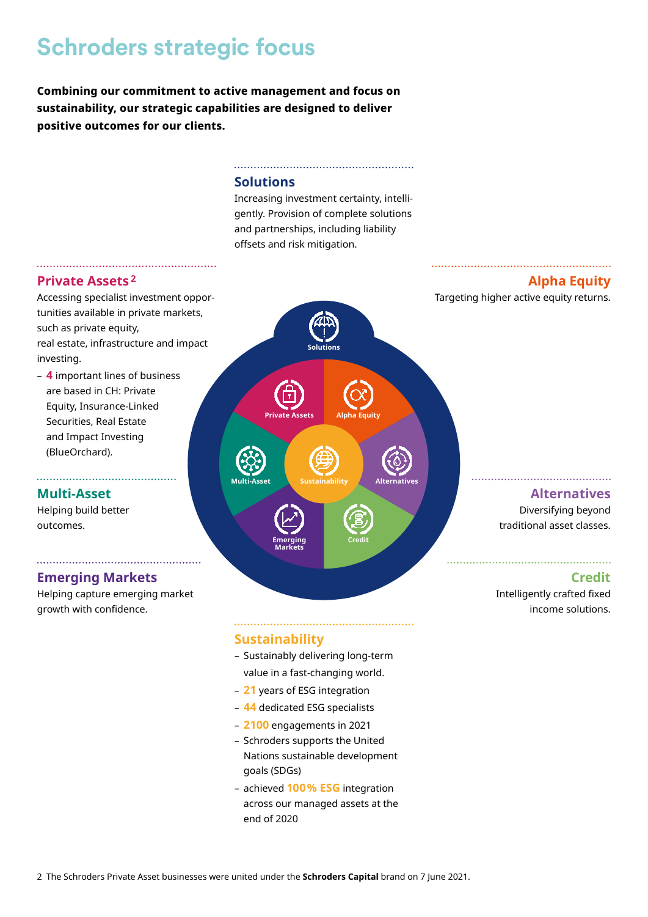# **[Schroders strategic focus](https://www.schroders.com/en/ch/asset-management/strategic-capabilities/schroders-investment-capabilities/)**

**Combining our commitment to active management and focus on sustainability, our strategic capabilities are designed to deliver positive outcomes for our clients.**

#### **Solutions**

Increasing investment certainty, intelli[gently. Provision of complete solutions](https://www.schroders.com/en/ch/asset-management/strategic-capabilities/risk-managed-solutions/)  and partnerships, including liability offsets and risk mitigation.

#### **Private Assets <sup>2</sup>**

[Accessing specialist investment oppor](https://www.schroders.com/en/ch/asset-management/strategic-capabilities/private-assets/)tunities available in private markets, such as private equity, real estate, infrastructure and impact investing.

– **4** important lines of business are based in CH: Private Equity, Insurance-Linked Securities, Real Estate and Impact Investing (BlueOrchard).

#### **[Multi-Asset](https://www.schroders.com/en/ch/asset-management/strategic-capabilities/multi-asset-solutions/)**

Helping build better outcomes.

#### **[Emerging Markets](https://www.schroders.com/en/ch/asset-management/strategic-capabilities/emerging-markets/)**

Helping capture emerging market growth with confidence.

# **Solutions [Private Assets](https://www.schroders.com/en/ch/asset-management/strategic-capabilities/schroders-investment-capabilities/) Alpha Equity Multi-Asset Sustainability Alternatives Emerging Credit Markets**

#### **Alpha Equity**

[Targeting higher active equity returns.](https://www.schroders.com/en/ch/asset-management/strategic-capabilities/alpha-equity/)

#### **Alternatives** Diversifying beyond

[traditional asset classes.](https://www.schroders.com/en/ch/asset-management/strategic-capabilities/alternatives/)

#### **Credit**

[Intelligently crafted fixed](https://www.schroders.com/en/ch/asset-management/strategic-capabilities/credit/)  income solutions.

#### **Sustainability**

- Sustainably delivering long-term value in a fast-changing world.
- **21** years of ESG integration
- **44** dedicated ESG specialists
- **2100** engagements in 2021
- Schroders supports the United Nations sustainable development goals (SDGs)
- achieved **100% ESG** integration [across our managed assets at the](https://www.schroders.com/en/ch/asset-management/sustainability/making-an-impact-through-sustainability/)  end of 2020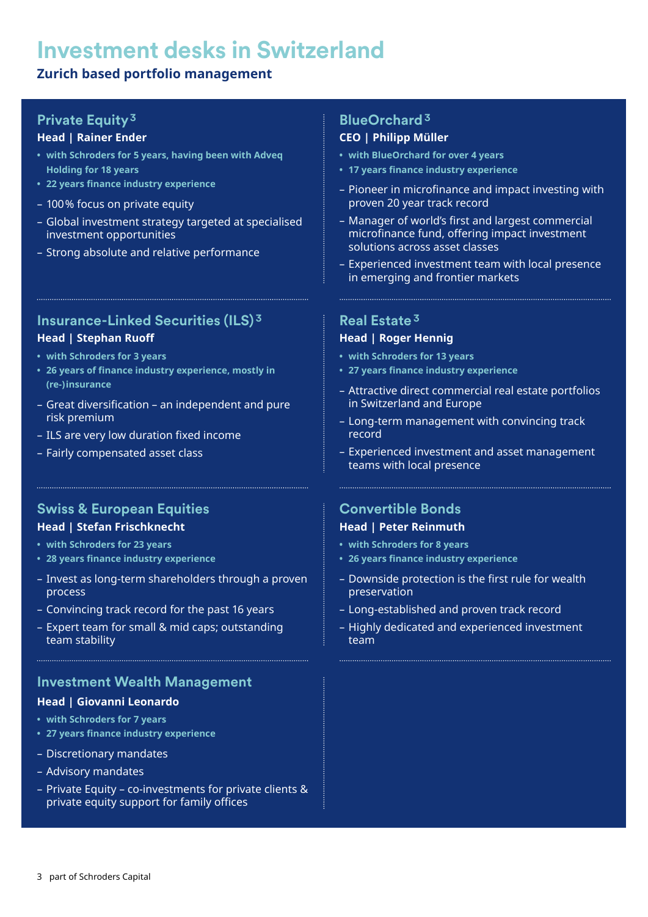# **Investment desks in Switzerland**

#### **Zurich based portfolio management**

#### **Private Equity3**

#### **Head | Rainer Ender**

- **• with Schroders for 5 years, having been with Adveq Holding for 18 years**
- **• 22 years finance industry experience**
- 100% focus on private equity
- Global investment strategy targeted at specialised investment opportunities
- Strong absolute and relative performance

#### **Insurance-Linked Securities (ILS) <sup>3</sup>**

#### **Head | Stephan Ruoff**

- **• with Schroders for 3 years**
- **• 26 years of finance industry experience, mostly in (re-)insurance**
- Great diversification an independent and pure risk premium
- ILS are very low duration fixed income

– Fairly compensated asset class

#### **Swiss & European Equities Head | Stefan Frischknecht**

#### **• with Schroders for 23 years**

- **• 28 years finance industry experience**
- Invest as long-term shareholders through a proven process
- Convincing track record for the past 16 years
- Expert team for small & mid caps; outstanding team stability

#### **Investment Wealth Management**

#### **Head | Giovanni Leonardo**

- **• with Schroders for 7 years**
- **• 27 years finance industry experience**
- Discretionary mandates
- Advisory mandates
- Private Equity co-investments for private clients & private equity support for family offices

#### **BlueOrchard <sup>3</sup>**

#### **CEO | Philipp Müller**

- **• with BlueOrchard for over 4 years**
- **• 17 years finance industry experience**
- Pioneer in microfinance and impact investing with proven 20 year track record
- Manager of world's first and largest commercial microfinance fund, offering impact investment solutions across asset classes
- Experienced investment team with local presence in emerging and frontier markets

#### **Real Estate <sup>3</sup>**

#### **Head | Roger Hennig**

- **• with Schroders for 13 years**
- **• 27 years finance industry experience**

- Attractive direct commercial real estate portfolios in Switzerland and Europe
- Long-term management with convincing track record
- Experienced investment and asset management teams with local presence

#### **Convertible Bonds Head | Peter Reinmuth**

- **• with Schroders for 8 years**
- **• 26 years finance industry experience**
- Downside protection is the first rule for wealth preservation
- Long-established and proven track record
- Highly dedicated and experienced investment team